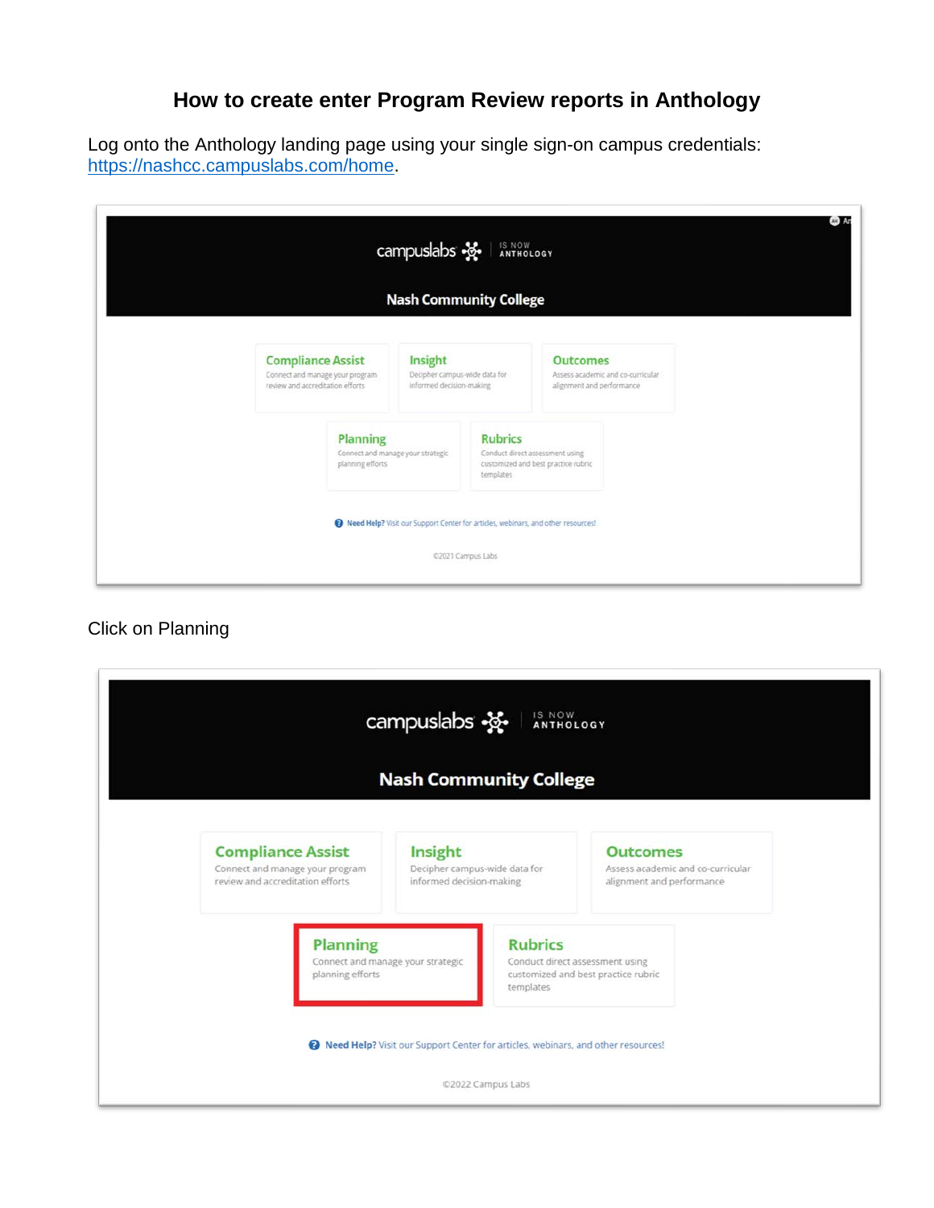## **How to create enter Program Review reports in Anthology**

Log onto the Anthology landing page using your single sign-on campus credentials: [https://nashcc.campuslabs.com/home.](https://nashcc.campuslabs.com/home)

|                                                                                                 | campuslabs $\frac{1}{2}$<br><b>Nash Community College</b>                        | IS NOW<br>ANTHOLOGY         |                                                                                   |  |
|-------------------------------------------------------------------------------------------------|----------------------------------------------------------------------------------|-----------------------------|-----------------------------------------------------------------------------------|--|
| <b>Compliance Assist</b><br>Connect and manage your program<br>review and accreditation efforts | Insight<br>Decipher campus-wide data for<br>Informed decision-making             |                             | <b>Outcomes</b><br>Assess academic and co-curricular<br>alignment and performance |  |
| <b>Planning</b><br>planning efforts                                                             | Connect and manage your strategic                                                | <b>Rubrics</b><br>templates | Conduct direct assessment using<br>customized and best practice rubric            |  |
|                                                                                                 | Reed Help? Visit our Support Center for articles, webinars, and other resources! | 02021 Campus Labs           |                                                                                   |  |

Click on Planning

|                                                                                                 |                                                                          | <b>Nash Community College</b>                                        |                                                                |                                                                                   |
|-------------------------------------------------------------------------------------------------|--------------------------------------------------------------------------|----------------------------------------------------------------------|----------------------------------------------------------------|-----------------------------------------------------------------------------------|
| <b>Compliance Assist</b><br>Connect and manage your program<br>review and accreditation efforts |                                                                          | Insight<br>Decipher campus-wide data for<br>informed decision-making |                                                                | <b>Outcomes</b><br>Assess academic and co-curricular<br>alignment and performance |
|                                                                                                 | <b>Planning</b><br>Connect and manage your strategic<br>planning efforts |                                                                      | <b>Rubrics</b><br>Conduct direct assessment using<br>templates | customized and best practice rubric                                               |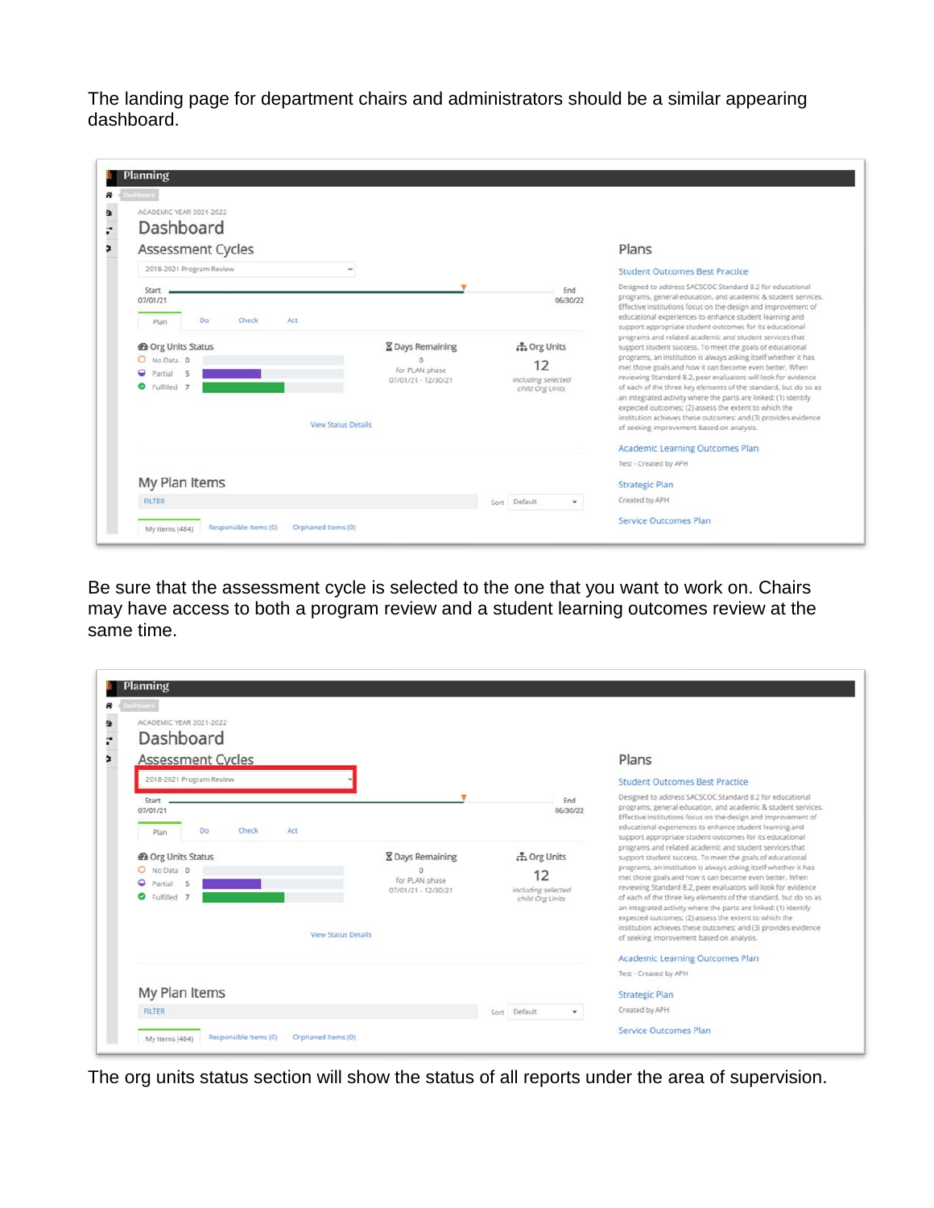The landing page for department chairs and administrators should be a similar appearing dashboard.

| Assessment Cycles                               |                                       |                          | Plans                                                                                                                                                                                                                                                                                                             |
|-------------------------------------------------|---------------------------------------|--------------------------|-------------------------------------------------------------------------------------------------------------------------------------------------------------------------------------------------------------------------------------------------------------------------------------------------------------------|
| 2018-2021 Program Review                        |                                       |                          | <b>Student Outcomes Best Practice</b>                                                                                                                                                                                                                                                                             |
| Start<br>07/01/21<br>Do<br>Check<br>Act<br>Plan |                                       | End<br>06/30/22          | Designed to address SACSCOC Standard 8.2 for educational<br>programs, general education, and academic & student services.<br>Effective institutions focus on the design and improvement of<br>educational experiences to enhance student learning and<br>support appropriate student outcomes for its educational |
| @ Org Units Status                              | <b>X</b> Days Remaining               | <b>A.</b> Org Units      | programs and related academic and student services that<br>support student success. To meet the goals of educational                                                                                                                                                                                              |
| O No Data 0<br><b>Q</b> Partial<br>司            | for PLAN phase<br>07/01/21 - 12/30/21 | 12<br>including selected | programs, an institution is always asking itself whether it has<br>met those goals and how it can become even better. When<br>reviewing Standard 8.2, peer evaluators will look for evidence                                                                                                                      |
| C Fulfilled 7                                   | <b>View Status Details</b>            | child Org Units          | of each of the three key elements of the standard, but do so as<br>an integrated activity where the parts are linked: (1) identify<br>expected outcomes: (2) assess the extent to which the<br>institution achieves these outcomes; and (3) provides evidence<br>of seeking improvement based on analysis.        |
|                                                 |                                       |                          | Academic Learning Outcomes Plan                                                                                                                                                                                                                                                                                   |
|                                                 |                                       |                          |                                                                                                                                                                                                                                                                                                                   |

Be sure that the assessment cycle is selected to the one that you want to work on. Chairs may have access to both a program review and a student learning outcomes review at the same time.

| <b>Assessment Cycles</b>                                   |                            |                                                   |                                             | Plans                                                                                                                                                                                                                                                                                                                                                                                                                                                                                                      |
|------------------------------------------------------------|----------------------------|---------------------------------------------------|---------------------------------------------|------------------------------------------------------------------------------------------------------------------------------------------------------------------------------------------------------------------------------------------------------------------------------------------------------------------------------------------------------------------------------------------------------------------------------------------------------------------------------------------------------------|
| 2018-2021 Program Review                                   |                            |                                                   |                                             | <b>Student Outcomes Best Practice</b>                                                                                                                                                                                                                                                                                                                                                                                                                                                                      |
| Start<br>07/01/21<br>Do:<br>Check<br>Plan                  | Act                        |                                                   | End<br>06/30/22                             | Designed to address SACSCOC Standard 8.2 for educational<br>programs, general education, and academic & student services.<br>Effective institutions focus on the design and improvement of<br>educational experiences to enhance student learning and<br>support appropriate student outcomes for its educational                                                                                                                                                                                          |
| @ Org Units Status                                         |                            | <b>X</b> Days Remaining                           | <b>A.</b> Org Units                         | programs and related academic and student services that<br>support student success. To meet the goals of educational                                                                                                                                                                                                                                                                                                                                                                                       |
| O No Data 0<br><b>Q</b> Partial<br>$\leq$<br>C Fulfilled 7 | <b>View Status Details</b> | $\Omega$<br>for PLAN phase<br>07/01/21 - 12/30/21 | 12<br>including selected<br>child Org Units | programs, an institution is always asking itself whether it has<br>met those goals and how it can become even better. When<br>reviewing Standard 8.2, peer evaluators will look for evidence<br>of each of the three key elements of the standard, but do so as<br>an integrated activity where the parts are linked: (1) identify<br>expected outcomes; (2) assess the extent to which the<br>institution achieves these outcomes; and (3) provides evidence<br>of seeking improvement based on analysis. |
|                                                            |                            |                                                   |                                             |                                                                                                                                                                                                                                                                                                                                                                                                                                                                                                            |
|                                                            |                            |                                                   |                                             | Academic Learning Outcomes Plan                                                                                                                                                                                                                                                                                                                                                                                                                                                                            |

The org units status section will show the status of all reports under the area of supervision.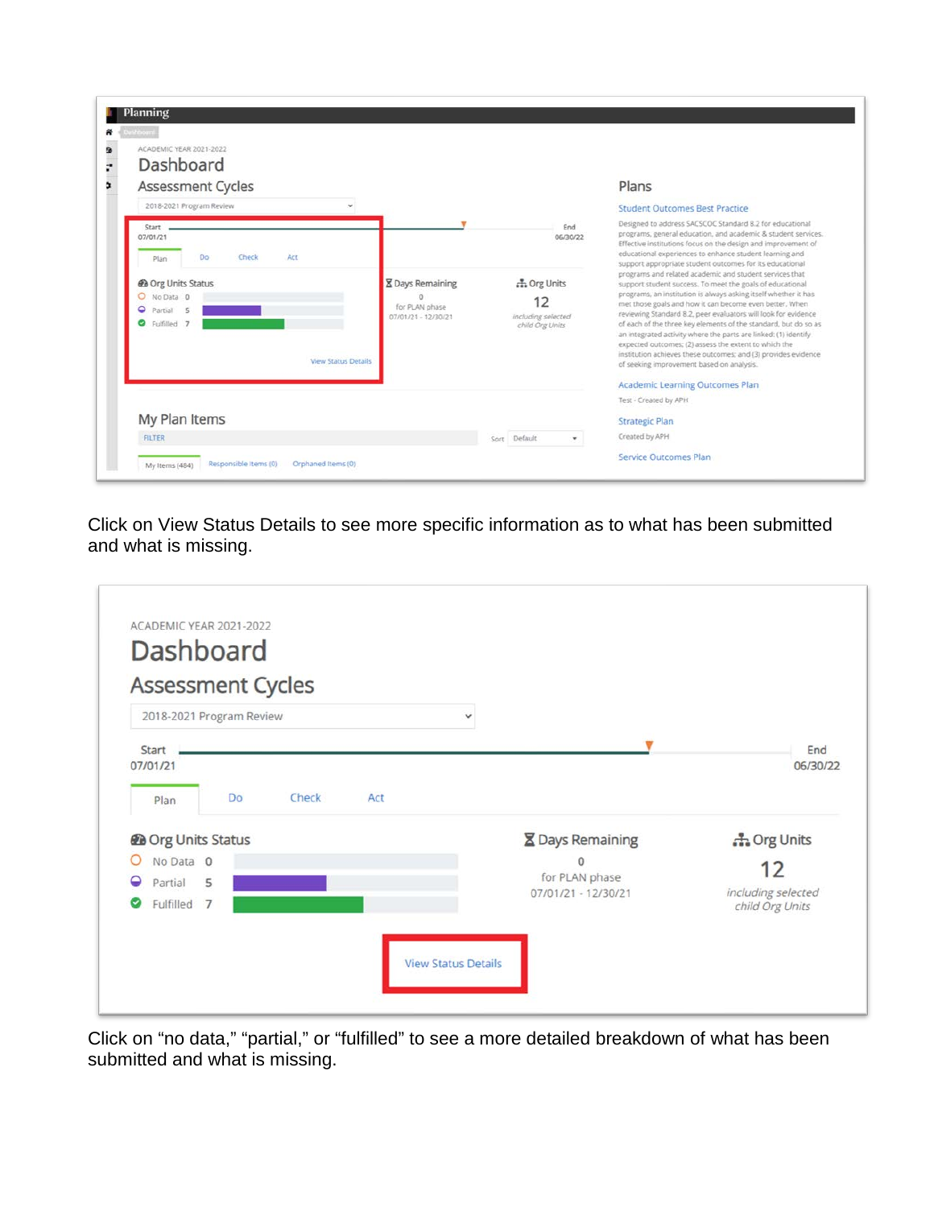| Assessment Cycles<br>2018-2021 Program Review                                                             |                                                                  |                                                                    | Plans<br><b>Student Outcomes Best Practice</b>                                                                                                                                                                                                                                                                                                                                                                                                                                                                                                                                                                                                                        |
|-----------------------------------------------------------------------------------------------------------|------------------------------------------------------------------|--------------------------------------------------------------------|-----------------------------------------------------------------------------------------------------------------------------------------------------------------------------------------------------------------------------------------------------------------------------------------------------------------------------------------------------------------------------------------------------------------------------------------------------------------------------------------------------------------------------------------------------------------------------------------------------------------------------------------------------------------------|
| <b>Start</b><br>07/01/21<br>Act<br>Do<br>Check<br>Plan                                                    |                                                                  | End<br>06/30/22                                                    | Designed to address SACSCOC Standard 8.2 for educational<br>programs, general education, and academic & student services.<br>Effective institutions focus on the design and improvement of<br>educational experiences to enhance student learning and<br>support appropriate student outcomes for its educational                                                                                                                                                                                                                                                                                                                                                     |
| @ Org Units Status<br>O No Data 0<br><b>Q</b> Partial<br>式<br>C Fulfilled 7<br><b>View Status Details</b> | <b>X</b> Days Remaining<br>for PLAN phase<br>07/01/21 - 12/30/21 | <b>A.</b> Org Units<br>12<br>including selected<br>child Org Units | programs and related academic and student services that<br>support student success. To meet the goals of educational<br>programs, an institution is always asking itself whether it has<br>met those goals and how it can become even better. When<br>reviewing Standard 8.2, peer evaluators will look for evidence<br>of each of the three key elements of the standard, but do so as<br>an integrated activity where the parts are linked: (1) identify<br>expected outcomes; (2) assess the extent to which the<br>institution achieves these outcomes; and (3) provides evidence<br>of seeking improvement based on analysis.<br>Academic Learning Outcomes Plan |

Click on View Status Details to see more specific information as to what has been submitted and what is missing.

|                                  | <b>Assessment Cycles</b>  |       |     |   |                                       |                     |
|----------------------------------|---------------------------|-------|-----|---|---------------------------------------|---------------------|
|                                  | 2018-2021 Program Review  |       |     | v |                                       |                     |
| <b>Start</b><br>07/01/21<br>Plan | Do                        | Check | Act |   |                                       | End<br>06/30/22     |
|                                  | <b>@</b> Org Units Status |       |     |   | <b>X</b> Days Remaining               | <b>A.</b> Org Units |
| Ο                                | No Data 0                 |       |     |   | $\Omega$                              | 12                  |
| Partial<br>◒                     | 5                         |       |     |   | for PLAN phase<br>07/01/21 - 12/30/21 | including selected  |
| ø                                | Fulfilled 7               |       |     |   |                                       | child Org Units     |

Click on "no data," "partial," or "fulfilled" to see a more detailed breakdown of what has been submitted and what is missing.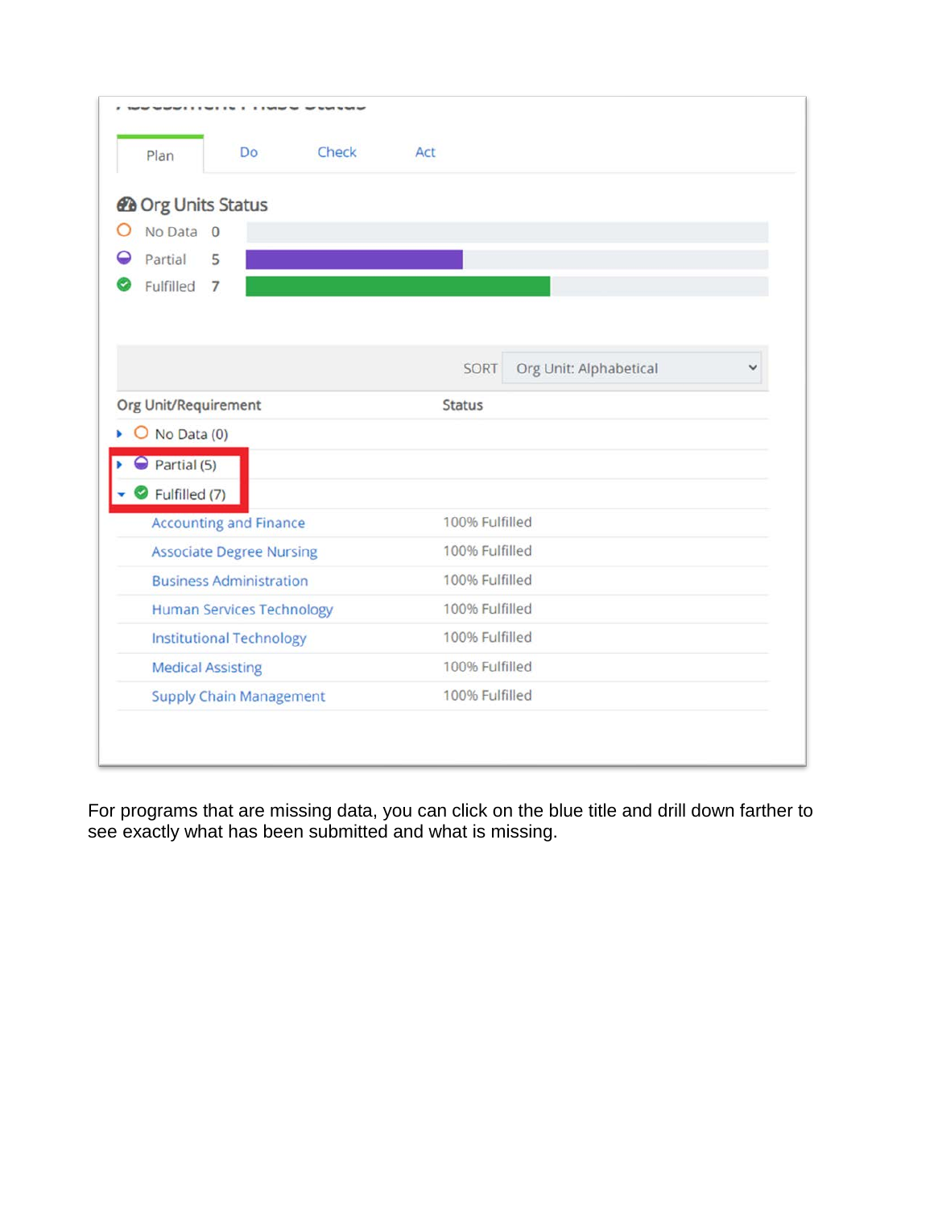| Check<br>Do:<br>Plan                                       | Act                            |
|------------------------------------------------------------|--------------------------------|
| <b>@</b> Org Units Status                                  |                                |
| No Data 0                                                  |                                |
| Partial<br>5                                               |                                |
| Fulfilled<br>$\overline{7}$                                |                                |
|                                                            |                                |
|                                                            |                                |
|                                                            | SORT<br>Org Unit: Alphabetical |
| Org Unit/Requirement                                       | <b>Status</b>                  |
| $O$ No Data (0)                                            |                                |
| $\ominus$ Partial (5)                                      |                                |
| Fulfilled (7)                                              |                                |
| <b>Accounting and Finance</b>                              | 100% Fulfilled                 |
| <b>Associate Degree Nursing</b>                            | 100% Fulfilled                 |
| <b>Business Administration</b>                             | 100% Fulfilled                 |
| <b>Human Services Technology</b>                           | 100% Fulfilled                 |
| <b>Institutional Technology</b>                            | 100% Fulfilled                 |
|                                                            | 100% Fulfilled                 |
|                                                            |                                |
| <b>Medical Assisting</b><br><b>Supply Chain Management</b> | 100% Fulfilled                 |

For programs that are missing data, you can click on the blue title and drill down farther to see exactly what has been submitted and what is missing.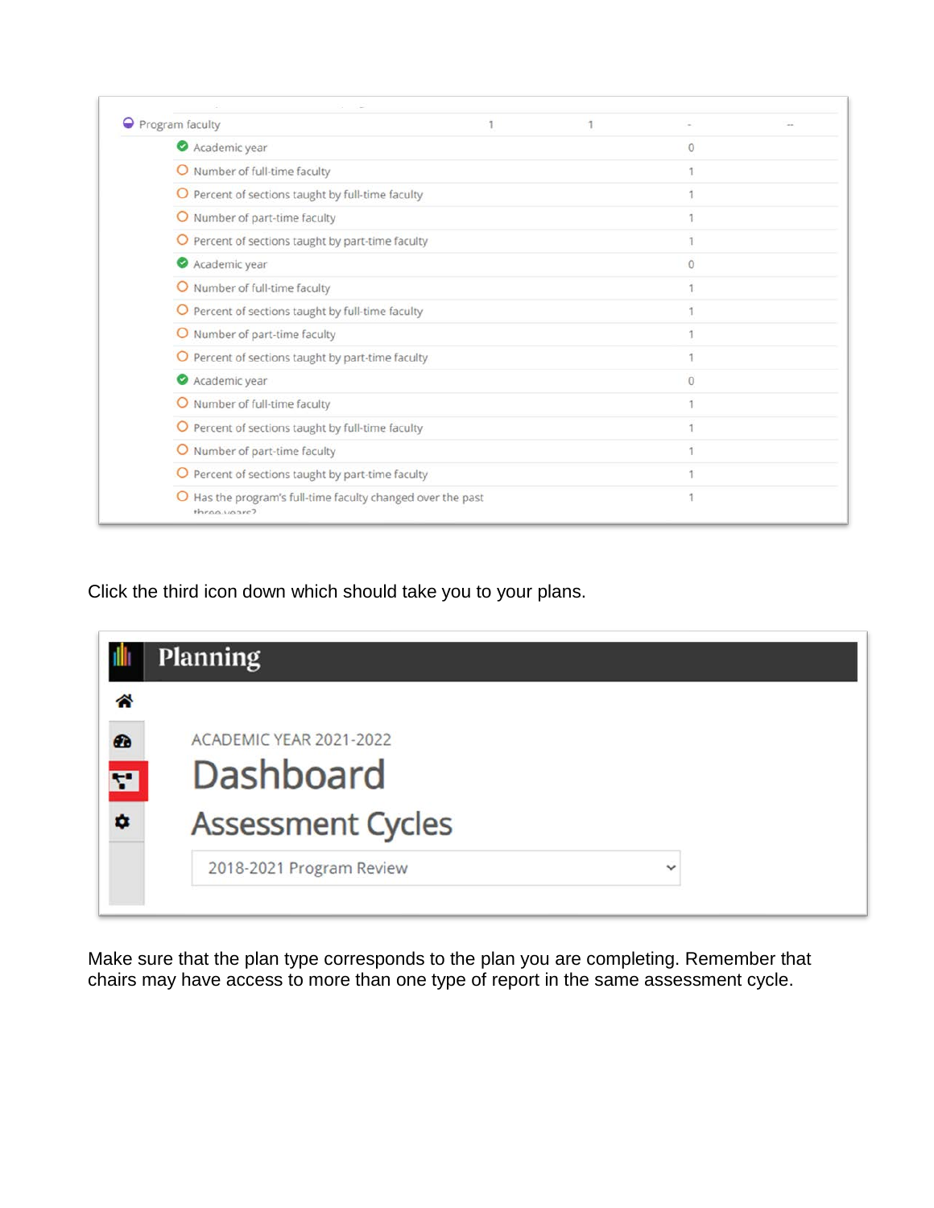| Program faculty                                                             |  |          |  |
|-----------------------------------------------------------------------------|--|----------|--|
| Academic year                                                               |  | 0        |  |
| O Number of full-time faculty                                               |  |          |  |
| O Percent of sections taught by full-time faculty                           |  |          |  |
| Number of part-time faculty<br>O                                            |  |          |  |
| O Percent of sections taught by part-time faculty                           |  |          |  |
| Academic year                                                               |  | $\Omega$ |  |
| O Number of full-time faculty                                               |  |          |  |
| O Percent of sections taught by full-time faculty                           |  |          |  |
| O Number of part-time faculty                                               |  |          |  |
| O Percent of sections taught by part-time faculty                           |  |          |  |
| Academic year                                                               |  | $\Omega$ |  |
| O Number of full-time faculty                                               |  |          |  |
| O Percent of sections taught by full-time faculty                           |  |          |  |
| O Number of part-time faculty                                               |  |          |  |
| O Percent of sections taught by part-time faculty                           |  |          |  |
| O Has the program's full-time faculty changed over the past<br>throa youre? |  |          |  |

Click the third icon down which should take you to your plans.



Make sure that the plan type corresponds to the plan you are completing. Remember that chairs may have access to more than one type of report in the same assessment cycle.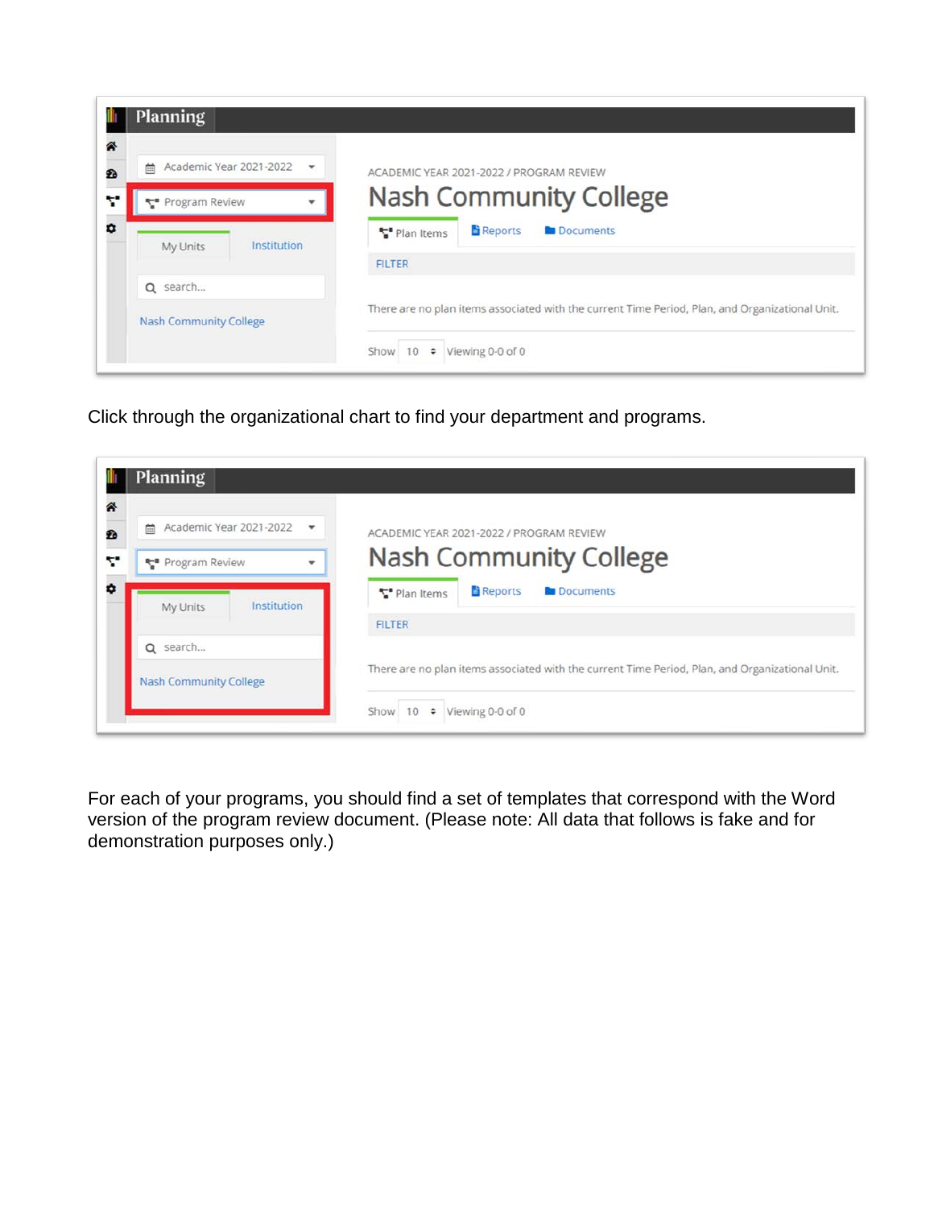| 斧 | <b>Planning</b>                   |                                                                                                 |
|---|-----------------------------------|-------------------------------------------------------------------------------------------------|
| £ | Academic Year 2021-2022<br>曲<br>۰ | ACADEMIC YEAR 2021-2022 / PROGRAM REVIEW                                                        |
|   | ₹ Program Review                  | <b>Nash Community College</b>                                                                   |
|   | Institution<br>My Units           | <b>Reports</b><br><b>B</b> Documents<br>Plan Items<br><b>FILTER</b>                             |
|   | Q search                          |                                                                                                 |
|   | <b>Nash Community College</b>     | There are no plan items associated with the current Time Period, Plan, and Organizational Unit. |
|   |                                   | Viewing 0-0 of 0<br>Show<br>10<br>$\div$                                                        |

Click through the organizational chart to find your department and programs.

|              | <b>Planning</b>                                                       |                                                                                                 |
|--------------|-----------------------------------------------------------------------|-------------------------------------------------------------------------------------------------|
| 斧<br>Đ<br>Y. | Academic Year 2021-2022<br>曲<br>$\mathbf{v}$<br>₹ Program Review<br>٠ | ACADEMIC YEAR 2021-2022 / PROGRAM REVIEW<br><b>Nash Community College</b>                       |
| ۰            | Institution<br>My Units                                               | <b>Reports</b><br><b>B</b> Documents<br>* Plan Items<br><b>FILTER</b>                           |
|              | Q search<br><b>Nash Community College</b>                             | There are no plan items associated with the current Time Period, Plan, and Organizational Unit. |
|              |                                                                       | Show $10 \div$ Viewing 0-0 of 0                                                                 |

For each of your programs, you should find a set of templates that correspond with the Word version of the program review document. (Please note: All data that follows is fake and for demonstration purposes only.)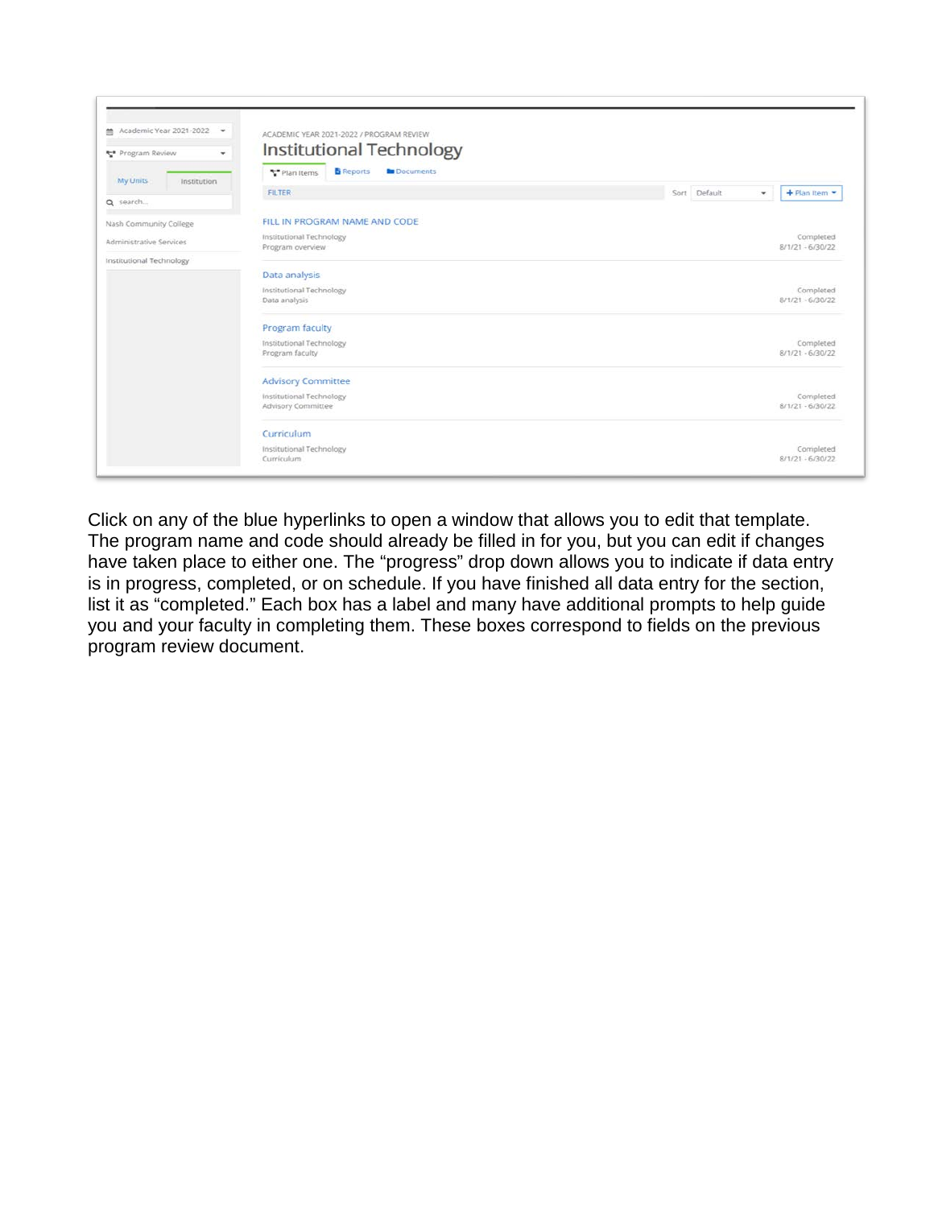

Click on any of the blue hyperlinks to open a window that allows you to edit that template. The program name and code should already be filled in for you, but you can edit if changes have taken place to either one. The "progress" drop down allows you to indicate if data entry is in progress, completed, or on schedule. If you have finished all data entry for the section, list it as "completed." Each box has a label and many have additional prompts to help guide you and your faculty in completing them. These boxes correspond to fields on the previous program review document.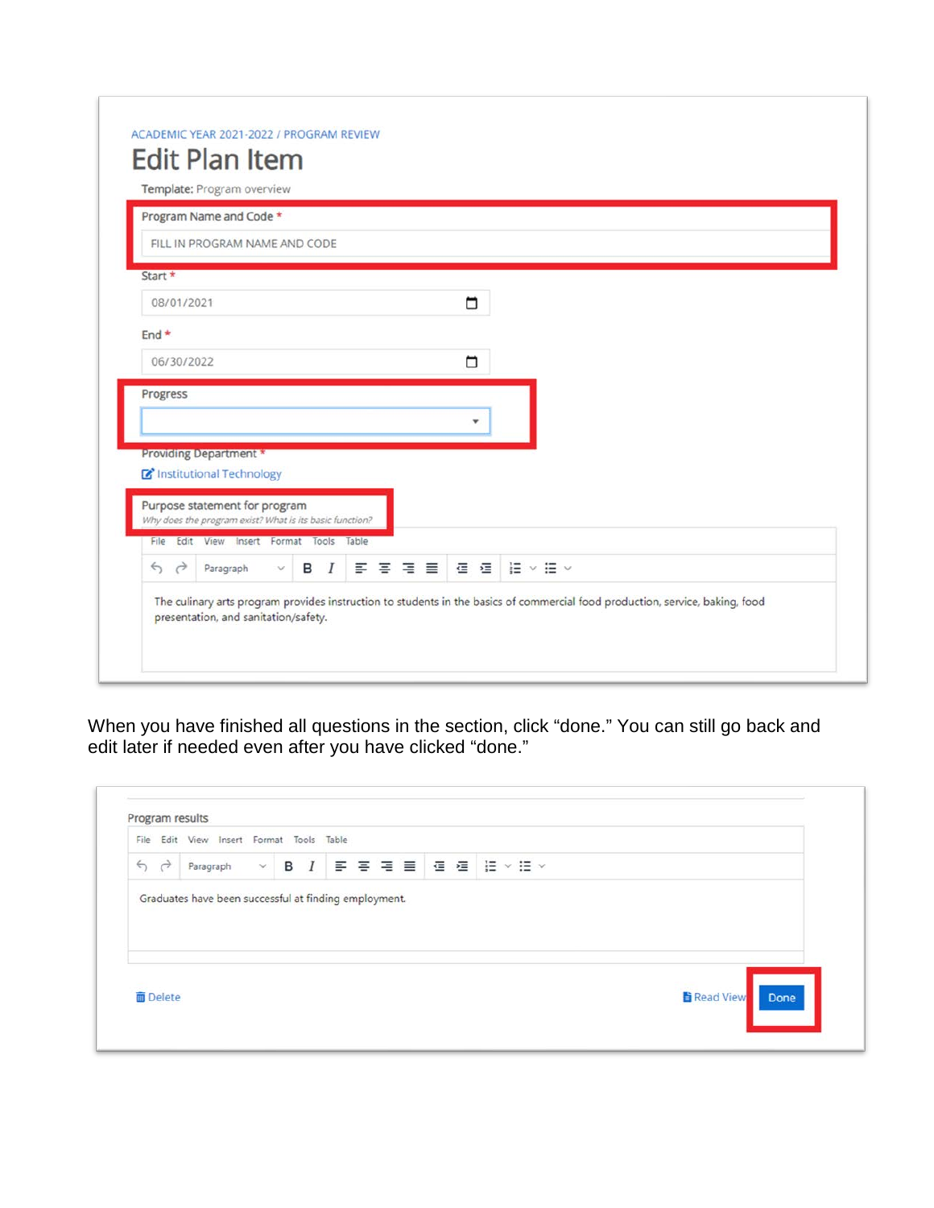|            | Program Name and Code *                                                                  |  |  |  |   |                       |  |  |  |  |  |
|------------|------------------------------------------------------------------------------------------|--|--|--|---|-----------------------|--|--|--|--|--|
|            | FILL IN PROGRAM NAME AND CODE                                                            |  |  |  |   |                       |  |  |  |  |  |
| Start *    |                                                                                          |  |  |  |   |                       |  |  |  |  |  |
| 08/01/2021 |                                                                                          |  |  |  | □ |                       |  |  |  |  |  |
| $End *$    |                                                                                          |  |  |  |   |                       |  |  |  |  |  |
| 06/30/2022 |                                                                                          |  |  |  | □ |                       |  |  |  |  |  |
| Progress   |                                                                                          |  |  |  |   |                       |  |  |  |  |  |
|            |                                                                                          |  |  |  |   |                       |  |  |  |  |  |
|            | Providing Department *                                                                   |  |  |  |   |                       |  |  |  |  |  |
|            | Institutional Technology                                                                 |  |  |  |   |                       |  |  |  |  |  |
|            | Purpose statement for program<br>Why does the program exist? What is its basic function? |  |  |  |   |                       |  |  |  |  |  |
|            | File Edit View Insert Format Tools Table                                                 |  |  |  |   |                       |  |  |  |  |  |
|            |                                                                                          |  |  |  |   | F F F E G G   H Y H Y |  |  |  |  |  |

When you have finished all questions in the section, click "done." You can still go back and edit later if needed even after you have clicked "done."

| File                   | Edit View |                 | Insert Format Tools Table |  |  |  |
|------------------------|-----------|-----------------|---------------------------|--|--|--|
| ð<br>$\leftrightarrow$ | Paragraph | $\mathcal{M}$ . |                           |  |  |  |
|                        |           |                 |                           |  |  |  |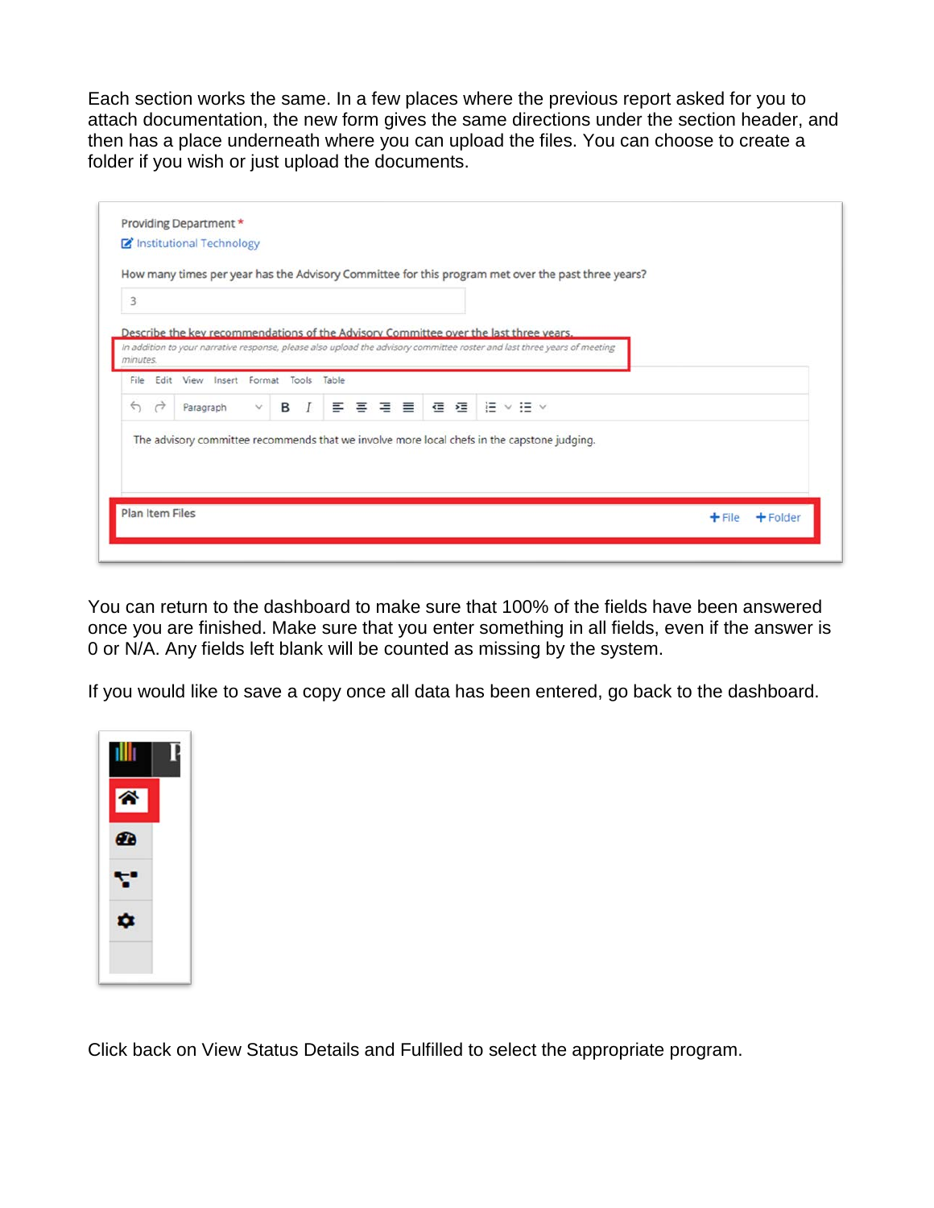Each section works the same. In a few places where the previous report asked for you to attach documentation, the new form gives the same directions under the section header, and then has a place underneath where you can upload the files. You can choose to create a folder if you wish or just upload the documents.

|                                    |                                                                                                                          |              |  |  |  |  |  | How many times per year has the Advisory Committee for this program met over the past three years? |  |  |  |
|------------------------------------|--------------------------------------------------------------------------------------------------------------------------|--------------|--|--|--|--|--|----------------------------------------------------------------------------------------------------|--|--|--|
| 3                                  |                                                                                                                          |              |  |  |  |  |  |                                                                                                    |  |  |  |
|                                    | Describe the key recommendations of the Advisory Committee over the last three years.                                    |              |  |  |  |  |  |                                                                                                    |  |  |  |
| minutes.                           | In addition to your narrative response, please also upload the advisory committee roster and last three years of meeting |              |  |  |  |  |  |                                                                                                    |  |  |  |
| File                               | Edit View Insert Format Tools Table                                                                                      |              |  |  |  |  |  |                                                                                                    |  |  |  |
| $\rightarrow$<br>$\leftrightarrow$ | Paragraph                                                                                                                | $\checkmark$ |  |  |  |  |  |                                                                                                    |  |  |  |
|                                    | The advisory committee recommends that we involve more local chefs in the capstone judging.                              |              |  |  |  |  |  |                                                                                                    |  |  |  |
|                                    |                                                                                                                          |              |  |  |  |  |  |                                                                                                    |  |  |  |
|                                    |                                                                                                                          |              |  |  |  |  |  |                                                                                                    |  |  |  |

You can return to the dashboard to make sure that 100% of the fields have been answered once you are finished. Make sure that you enter something in all fields, even if the answer is 0 or N/A. Any fields left blank will be counted as missing by the system.

If you would like to save a copy once all data has been entered, go back to the dashboard.



Click back on View Status Details and Fulfilled to select the appropriate program.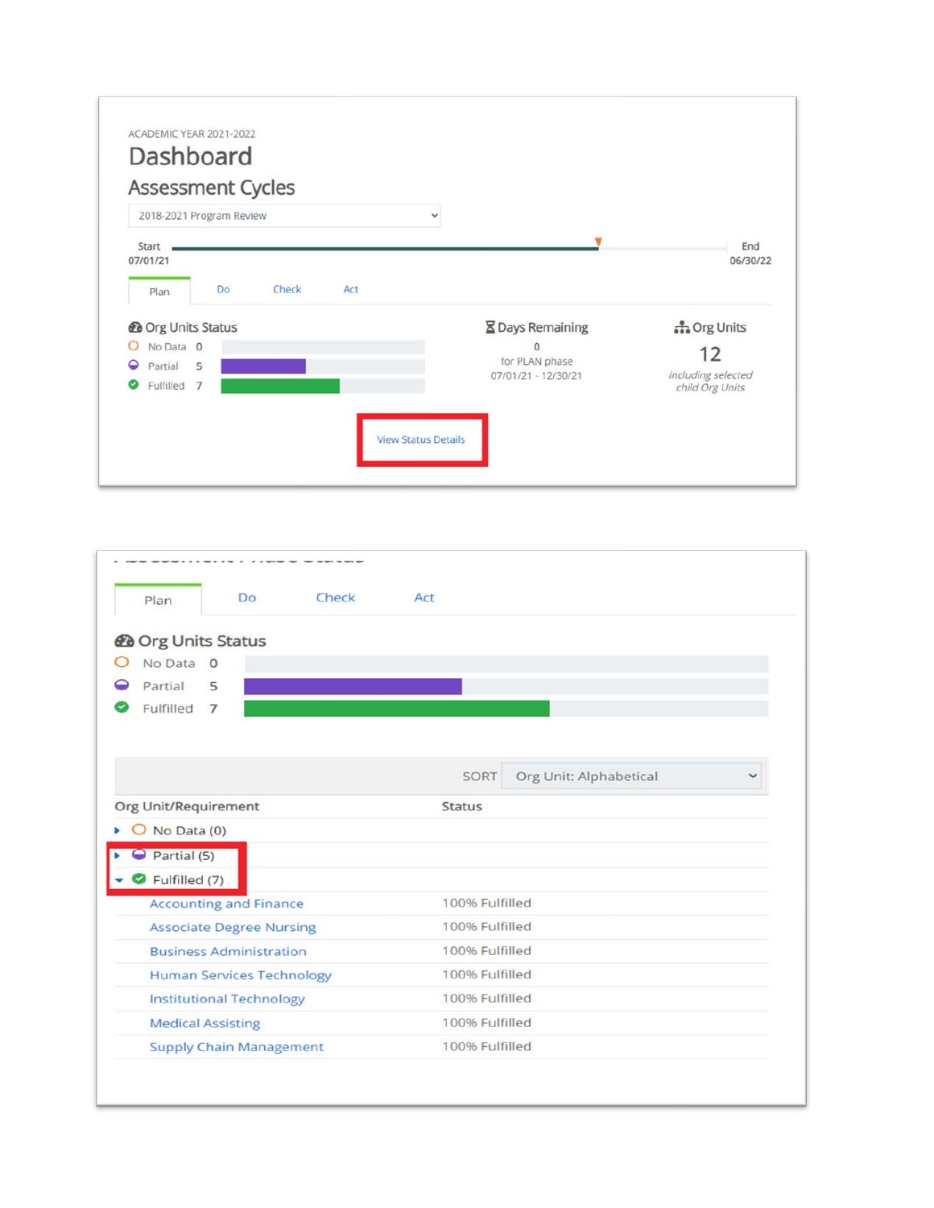| Assessment Cycles<br>2018-2021 Program Review | $\checkmark$               |                                       |
|-----------------------------------------------|----------------------------|---------------------------------------|
| Start<br>07/01/21                             |                            | End<br>06/30/22                       |
| Do<br>Check<br>Act<br>Plan                    |                            |                                       |
| <b>@</b> Org Units Status                     | <b>X</b> Days Remaining    | norg Units                            |
| No Data 0<br>O                                | $\Omega$<br>for PLAN phase | 12                                    |
| ◒<br>5<br>Partial<br>Fulfilled 7<br>ల         | 07/01/21 - 12/30/21        | including selected<br>child Org Units |

| Check<br><b>Do</b><br>Plan       | Act                            |
|----------------------------------|--------------------------------|
| <b>@</b> Org Units Status        |                                |
| No Data 0                        |                                |
| Partial<br>5                     |                                |
| Fulfilled<br>$\overline{7}$      |                                |
|                                  |                                |
|                                  | Org Unit: Alphabetical<br>SORT |
| Org Unit/Requirement             | <b>Status</b>                  |
| O No Data (0)<br>r               |                                |
| $\ominus$ Partial (5)            |                                |
| Fulfilled (7)                    |                                |
| <b>Accounting and Finance</b>    | 100% Fulfilled                 |
| <b>Associate Degree Nursing</b>  | 100% Fulfilled                 |
| <b>Business Administration</b>   | 100% Fulfilled                 |
| <b>Human Services Technology</b> | 100% Fulfilled                 |
| <b>Institutional Technology</b>  | 100% Fulfilled                 |
|                                  | 100% Fulfilled                 |
| <b>Medical Assisting</b>         |                                |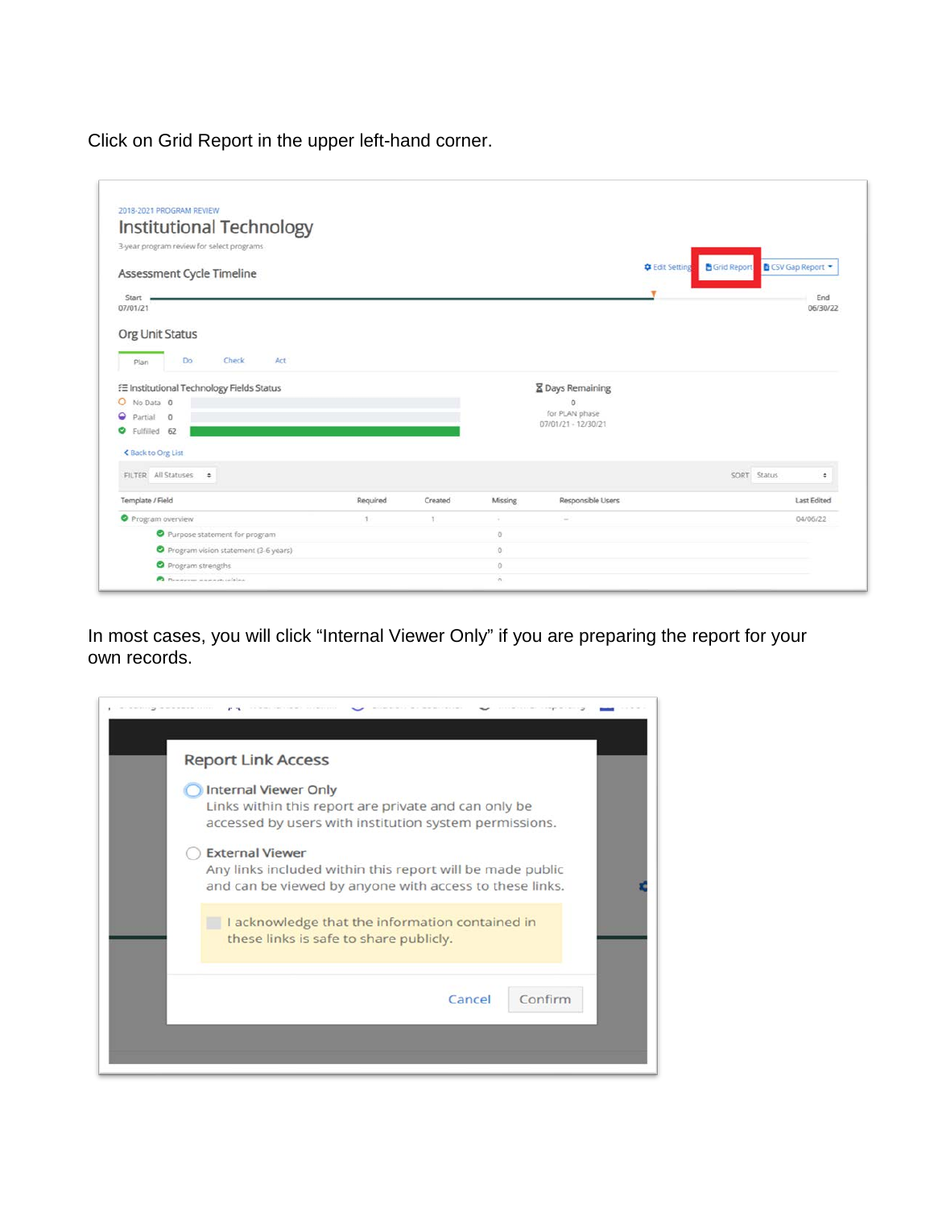Click on Grid Report in the upper left-hand corner.

| 2018-2021 PROGRAM REVIEW<br>Institutional Technology |               |               |         |                                       |                                             |             |                         |
|------------------------------------------------------|---------------|---------------|---------|---------------------------------------|---------------------------------------------|-------------|-------------------------|
| 3-year program review for select programs            |               |               |         |                                       |                                             |             |                         |
|                                                      |               |               |         |                                       |                                             |             |                         |
| Assessment Cycle Timeline                            |               |               |         |                                       | <b>C</b> Edit Setting<br><b>Grid Report</b> |             | <b>B</b> CSV Gap Report |
| Start                                                |               |               |         |                                       |                                             |             | End                     |
| 07/01/21                                             |               |               |         |                                       |                                             |             | 06/30/22                |
|                                                      |               |               |         |                                       |                                             |             |                         |
| Org Unit Status                                      |               |               |         |                                       |                                             |             |                         |
| <b>Check</b><br>Do<br>Act<br>Plan                    |               |               |         |                                       |                                             |             |                         |
| E Institutional Technology Fields Status             |               |               |         | <b>X</b> Days Remaining               |                                             |             |                         |
| O No Data 0                                          |               |               |         | $\circ$                               |                                             |             |                         |
| ◒<br>Partial<br>$\overline{0}$                       |               |               |         | for PLAN phase<br>07/01/21 - 12/30/21 |                                             |             |                         |
| ◎<br>Fulfilled 62                                    |               |               |         |                                       |                                             |             |                         |
|                                                      |               |               |         |                                       |                                             |             |                         |
| < Back to Org List                                   |               |               |         |                                       |                                             |             |                         |
| FILTER All Statuses .                                |               |               |         |                                       |                                             | SORT Status | ٠                       |
|                                                      | Required      | Created       | Missing | Responsible Users                     |                                             |             | <b>Last Edited</b>      |
| Template / Field<br>Program overview                 | $\mathcal{X}$ | $\frac{1}{2}$ | $\sim$  | $\sim$                                |                                             |             | 04/06/22                |
| Purpose statement for program                        |               |               | $\circ$ |                                       |                                             |             |                         |
| Program vision statement (3-6 years)                 |               |               | $\circ$ |                                       |                                             |             |                         |
| Program strengths                                    |               |               | $\circ$ |                                       |                                             |             |                         |

In most cases, you will click "Internal Viewer Only" if you are preparing the report for your own records.

| <b>Report Link Access</b>                                                                                                                      |
|------------------------------------------------------------------------------------------------------------------------------------------------|
| <b>Internal Viewer Only</b><br>Links within this report are private and can only be<br>accessed by users with institution system permissions.  |
| <b>External Viewer</b><br>Any links included within this report will be made public<br>and can be viewed by anyone with access to these links. |
| I acknowledge that the information contained in<br>these links is safe to share publicly.                                                      |
| Confirm<br>Cancel                                                                                                                              |